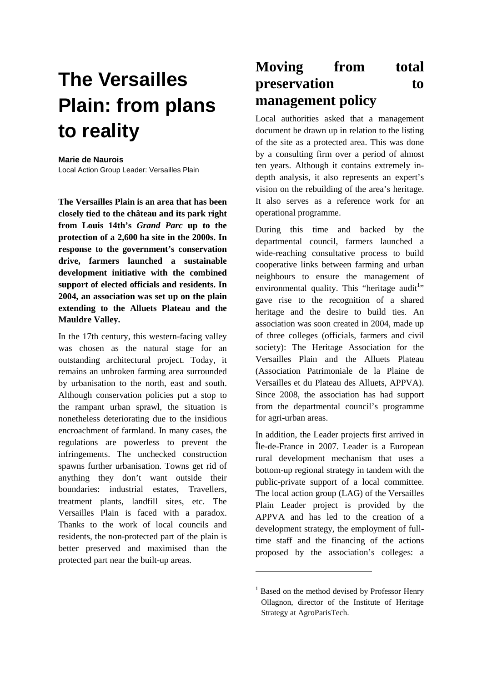# **The Versailles Plain: from plans to reality**

#### **Marie de Naurois**

Local Action Group Leader: Versailles Plain

**The Versailles Plain is an area that has been closely tied to the château and its park right from Louis 14th's** *Grand Parc* **up to the protection of a 2,600 ha site in the 2000s. In response to the government's conservation drive, farmers launched a sustainable development initiative with the combined support of elected officials and residents. In 2004, an association was set up on the plain extending to the Alluets Plateau and the Mauldre Valley.** 

In the 17th century, this western-facing valley was chosen as the natural stage for an outstanding architectural project. Today, it remains an unbroken farming area surrounded by urbanisation to the north, east and south. Although conservation policies put a stop to the rampant urban sprawl, the situation is nonetheless deteriorating due to the insidious encroachment of farmland. In many cases, the regulations are powerless to prevent the infringements. The unchecked construction spawns further urbanisation. Towns get rid of anything they don't want outside their boundaries: industrial estates, Travellers, treatment plants, landfill sites, etc. The Versailles Plain is faced with a paradox. Thanks to the work of local councils and residents, the non-protected part of the plain is better preserved and maximised than the protected part near the built-up areas.

### **Moving from total preservation** to **management policy**

Local authorities asked that a management document be drawn up in relation to the listing of the site as a protected area. This was done by a consulting firm over a period of almost ten years. Although it contains extremely indepth analysis, it also represents an expert's vision on the rebuilding of the area's heritage. It also serves as a reference work for an operational programme.

During this time and backed by the departmental council, farmers launched a wide-reaching consultative process to build cooperative links between farming and urban neighbours to ensure the management of environmental quality. This "heritage audit" gave rise to the recognition of a shared heritage and the desire to build ties. An association was soon created in 2004, made up of three colleges (officials, farmers and civil society): The Heritage Association for the Versailles Plain and the Alluets Plateau (Association Patrimoniale de la Plaine de Versailles et du Plateau des Alluets, APPVA). Since 2008, the association has had support from the departmental council's programme for agri-urban areas.

In addition, the Leader projects first arrived in Île-de-France in 2007. Leader is a European rural development mechanism that uses a bottom-up regional strategy in tandem with the public-private support of a local committee. The local action group (LAG) of the Versailles Plain Leader project is provided by the APPVA and has led to the creation of a development strategy, the employment of fulltime staff and the financing of the actions proposed by the association's colleges: a

 $\overline{a}$ 

<sup>&</sup>lt;sup>1</sup> Based on the method devised by Professor Henry Ollagnon, director of the Institute of Heritage Strategy at AgroParisTech.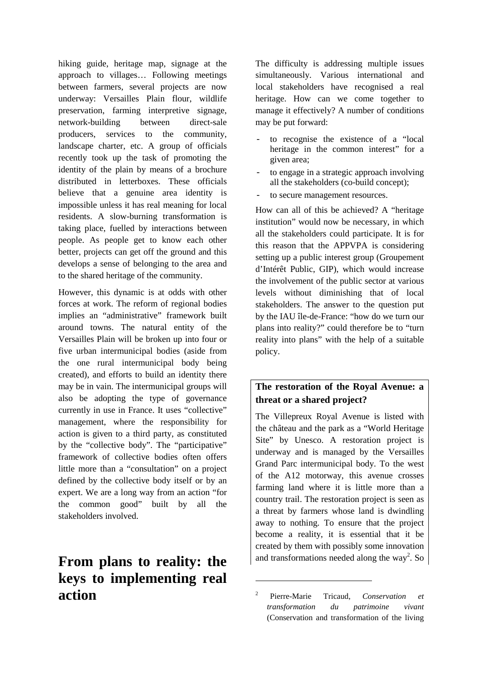hiking guide, heritage map, signage at the approach to villages… Following meetings between farmers, several projects are now underway: Versailles Plain flour, wildlife preservation, farming interpretive signage, network-building between direct-sale producers, services to the community, landscape charter, etc. A group of officials recently took up the task of promoting the identity of the plain by means of a brochure distributed in letterboxes. These officials believe that a genuine area identity is impossible unless it has real meaning for local residents. A slow-burning transformation is taking place, fuelled by interactions between people. As people get to know each other better, projects can get off the ground and this develops a sense of belonging to the area and to the shared heritage of the community.

However, this dynamic is at odds with other forces at work. The reform of regional bodies implies an "administrative" framework built around towns. The natural entity of the Versailles Plain will be broken up into four or five urban intermunicipal bodies (aside from the one rural intermunicipal body being created), and efforts to build an identity there may be in vain. The intermunicipal groups will also be adopting the type of governance currently in use in France. It uses "collective" management, where the responsibility for action is given to a third party, as constituted by the "collective body". The "participative" framework of collective bodies often offers little more than a "consultation" on a project defined by the collective body itself or by an expert. We are a long way from an action "for the common good" built by all the stakeholders involved.

## **From plans to reality: the keys to implementing real action**

The difficulty is addressing multiple issues simultaneously. Various international and local stakeholders have recognised a real heritage. How can we come together to manage it effectively? A number of conditions may be put forward:

- to recognise the existence of a "local" heritage in the common interest" for a given area;
- to engage in a strategic approach involving all the stakeholders (co-build concept);
- to secure management resources.

How can all of this be achieved? A "heritage institution" would now be necessary, in which all the stakeholders could participate. It is for this reason that the APPVPA is considering setting up a public interest group (Groupement d'Intérêt Public, GIP), which would increase the involvement of the public sector at various levels without diminishing that of local stakeholders. The answer to the question put by the IAU île-de-France: "how do we turn our plans into reality?" could therefore be to "turn reality into plans" with the help of a suitable policy.

#### **The restoration of the Royal Avenue: a threat or a shared project?**

The Villepreux Royal Avenue is listed with the château and the park as a "World Heritage Site" by Unesco. A restoration project is underway and is managed by the Versailles Grand Parc intermunicipal body. To the west of the A12 motorway, this avenue crosses farming land where it is little more than a country trail. The restoration project is seen as a threat by farmers whose land is dwindling away to nothing. To ensure that the project become a reality, it is essential that it be created by them with possibly some innovation and transformations needed along the way<sup>2</sup>. So

 $\overline{a}$ 

<sup>2</sup> Pierre-Marie Tricaud, *Conservation et transformation du patrimoine vivant*  (Conservation and transformation of the living